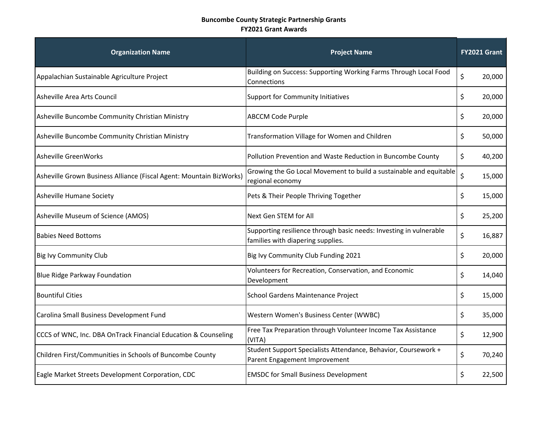## **Buncombe County Strategic Partnership Grants FY2021 Grant Awards**

| <b>Organization Name</b>                                            | <b>Project Name</b>                                                                                     | FY2021 Grant |        |
|---------------------------------------------------------------------|---------------------------------------------------------------------------------------------------------|--------------|--------|
| Appalachian Sustainable Agriculture Project                         | Building on Success: Supporting Working Farms Through Local Food<br>Connections                         | \$           | 20,000 |
| Asheville Area Arts Council                                         | <b>Support for Community Initiatives</b>                                                                | \$           | 20,000 |
| Asheville Buncombe Community Christian Ministry                     | <b>ABCCM Code Purple</b>                                                                                | \$           | 20,000 |
| Asheville Buncombe Community Christian Ministry                     | Transformation Village for Women and Children                                                           | \$           | 50,000 |
| Asheville GreenWorks                                                | Pollution Prevention and Waste Reduction in Buncombe County                                             | \$           | 40,200 |
| Asheville Grown Business Alliance (Fiscal Agent: Mountain BizWorks) | Growing the Go Local Movement to build a sustainable and equitable<br>regional economy                  | \$           | 15,000 |
| Asheville Humane Society                                            | Pets & Their People Thriving Together                                                                   | \$           | 15,000 |
| Asheville Museum of Science (AMOS)                                  | Next Gen STEM for All                                                                                   | \$           | 25,200 |
| <b>Babies Need Bottoms</b>                                          | Supporting resilience through basic needs: Investing in vulnerable<br>families with diapering supplies. | \$           | 16,887 |
| <b>Big Ivy Community Club</b>                                       | Big Ivy Community Club Funding 2021                                                                     | \$           | 20,000 |
| <b>Blue Ridge Parkway Foundation</b>                                | Volunteers for Recreation, Conservation, and Economic<br>Development                                    | \$           | 14,040 |
| <b>Bountiful Cities</b>                                             | School Gardens Maintenance Project                                                                      | \$           | 15,000 |
| Carolina Small Business Development Fund                            | Western Women's Business Center (WWBC)                                                                  | \$           | 35,000 |
| CCCS of WNC, Inc. DBA OnTrack Financial Education & Counseling      | Free Tax Preparation through Volunteer Income Tax Assistance<br>(VITA)                                  | \$           | 12,900 |
| Children First/Communities in Schools of Buncombe County            | Student Support Specialists Attendance, Behavior, Coursework +<br>Parent Engagement Improvement         | \$           | 70,240 |
| Eagle Market Streets Development Corporation, CDC                   | <b>EMSDC for Small Business Development</b>                                                             | \$           | 22,500 |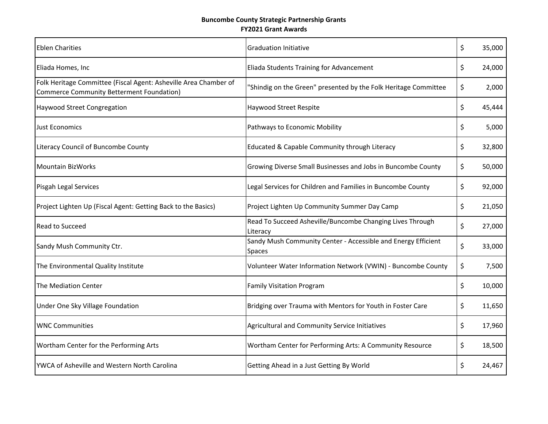## **Buncombe County Strategic Partnership Grants FY2021 Grant Awards**

| <b>Eblen Charities</b>                                                                                               | <b>Graduation Initiative</b>                                                   | \$<br>35,000 |
|----------------------------------------------------------------------------------------------------------------------|--------------------------------------------------------------------------------|--------------|
| Eliada Homes, Inc                                                                                                    | Eliada Students Training for Advancement                                       | \$<br>24,000 |
| Folk Heritage Committee (Fiscal Agent: Asheville Area Chamber of<br><b>Commerce Community Betterment Foundation)</b> | "Shindig on the Green" presented by the Folk Heritage Committee                | \$<br>2,000  |
| <b>Haywood Street Congregation</b>                                                                                   | Haywood Street Respite                                                         | \$<br>45,444 |
| <b>Just Economics</b>                                                                                                | Pathways to Economic Mobility                                                  | \$<br>5,000  |
| Literacy Council of Buncombe County                                                                                  | Educated & Capable Community through Literacy                                  | \$<br>32,800 |
| <b>Mountain BizWorks</b>                                                                                             | Growing Diverse Small Businesses and Jobs in Buncombe County                   | \$<br>50,000 |
| Pisgah Legal Services                                                                                                | Legal Services for Children and Families in Buncombe County                    | \$<br>92,000 |
| Project Lighten Up (Fiscal Agent: Getting Back to the Basics)                                                        | Project Lighten Up Community Summer Day Camp                                   | \$<br>21,050 |
| Read to Succeed                                                                                                      | Read To Succeed Asheville/Buncombe Changing Lives Through<br>Literacy          | \$<br>27,000 |
| Sandy Mush Community Ctr.                                                                                            | Sandy Mush Community Center - Accessible and Energy Efficient<br><b>Spaces</b> | \$<br>33,000 |
| The Environmental Quality Institute                                                                                  | Volunteer Water Information Network (VWIN) - Buncombe County                   | \$<br>7,500  |
| The Mediation Center                                                                                                 | <b>Family Visitation Program</b>                                               | \$<br>10,000 |
| Under One Sky Village Foundation                                                                                     | Bridging over Trauma with Mentors for Youth in Foster Care                     | \$<br>11,650 |
| <b>WNC Communities</b>                                                                                               | Agricultural and Community Service Initiatives                                 | \$<br>17,960 |
| Wortham Center for the Performing Arts                                                                               | Wortham Center for Performing Arts: A Community Resource                       | \$<br>18,500 |
| YWCA of Asheville and Western North Carolina                                                                         | Getting Ahead in a Just Getting By World                                       | \$<br>24,467 |